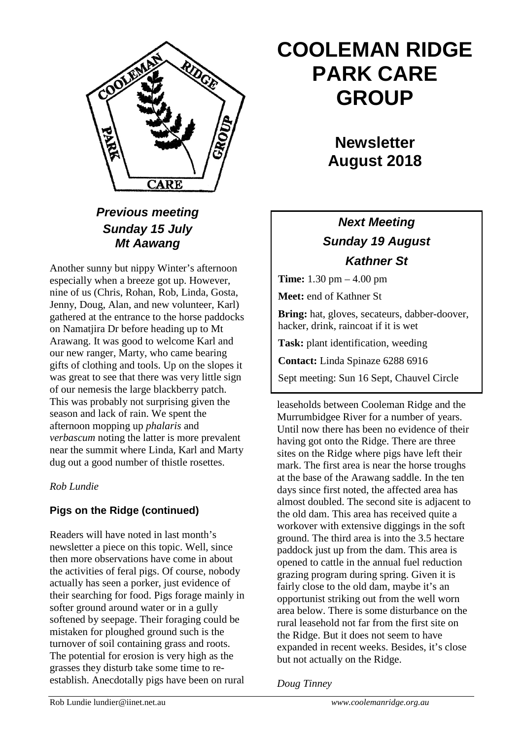

### *Previous meeting Sunday 15 July Mt Aawang*

Another sunny but nippy Winter's afternoon especially when a breeze got up. However, nine of us (Chris, Rohan, Rob, Linda, Gosta, Jenny, Doug, Alan, and new volunteer, Karl) gathered at the entrance to the horse paddocks on Namatjira Dr before heading up to Mt Arawang. It was good to welcome Karl and our new ranger, Marty, who came bearing gifts of clothing and tools. Up on the slopes it was great to see that there was very little sign of our nemesis the large blackberry patch. This was probably not surprising given the season and lack of rain. We spent the afternoon mopping up *phalaris* and *verbascum* noting the latter is more prevalent near the summit where Linda, Karl and Marty dug out a good number of thistle rosettes.

#### *Rob Lundie*

### **Pigs on the Ridge (continued)**

Readers will have noted in last month's newsletter a piece on this topic. Well, since then more observations have come in about the activities of feral pigs. Of course, nobody actually has seen a porker, just evidence of their searching for food. Pigs forage mainly in softer ground around water or in a gully softened by seepage. Their foraging could be mistaken for ploughed ground such is the turnover of soil containing grass and roots. The potential for erosion is very high as the grasses they disturb take some time to reestablish. Anecdotally pigs have been on rural

# **COOLEMAN RIDGE PARK CARE GROUP**

## **Newsletter August 2018**

### *Next Meeting Sunday 19 August Kathner St*

**Time:** 1.30 pm – 4.00 pm

**Meet:** end of Kathner St

**Bring:** hat, gloves, secateurs, dabber-doover, hacker, drink, raincoat if it is wet

**Task:** plant identification, weeding

**Contact:** Linda Spinaze 6288 6916

Sept meeting: Sun 16 Sept, Chauvel Circle

leaseholds between Cooleman Ridge and the Murrumbidgee River for a number of years. Until now there has been no evidence of their having got onto the Ridge. There are three sites on the Ridge where pigs have left their mark. The first area is near the horse troughs at the base of the Arawang saddle. In the ten days since first noted, the affected area has almost doubled. The second site is adjacent to the old dam. This area has received quite a workover with extensive diggings in the soft ground. The third area is into the 3.5 hectare paddock just up from the dam. This area is opened to cattle in the annual fuel reduction grazing program during spring. Given it is fairly close to the old dam, maybe it's an opportunist striking out from the well worn area below. There is some disturbance on the rural leasehold not far from the first site on the Ridge. But it does not seem to have expanded in recent weeks. Besides, it's close but not actually on the Ridge.

*Doug Tinney*